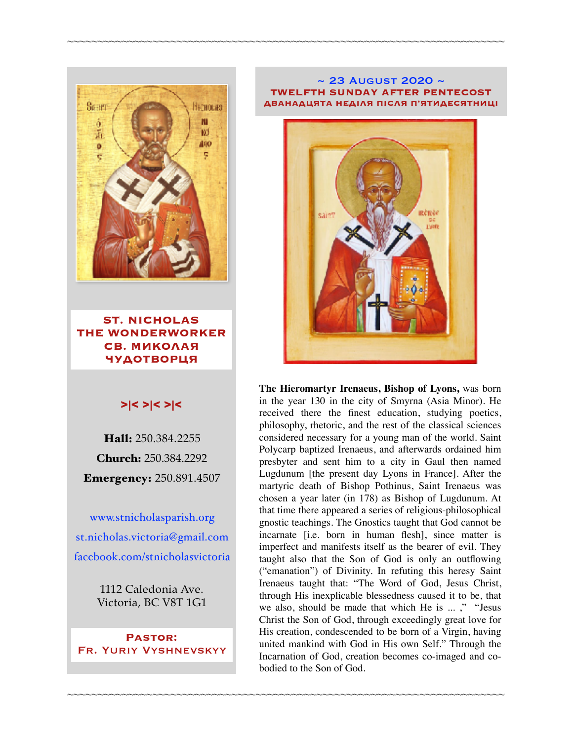

**ST. NICHOLAS THE WONDERWORKER СВ. МИКОЛАЯ ЧУДОТВОРЦЯ**

### >|< >|< >|<

Hall: 250.384.2255 Church: 250.384.2292 Emergency: 250.891.4507

[www.stnicholasparish.org](http://www.stnicholasparish.org) [st.nicholas.victoria@gmail.com](mailto:st.nicholas.victoria@gmail.com) [facebook.com/stnicholasvictoria](http://facebook.com/stnicholasvictoria)

> 1112 Caledonia Ave. Victoria, BC V8T 1G1

**Pastor:**  Fr. Yuriy Vyshnevskyy

#### ~ 23 August 2020 ~ **TWELFTH SUNDAY AFTER PENTECOST ДВАНАДЦЯТА НЕДІЛЯ ПІСЛЯ П'ЯТИДЕСЯТНИЦІ**

~~~~~~~~~~~~~~~~~~~~~~~~~~~~~~~~~~~~~~~~~~~~~~~~~~~~~~~~~~~~~~~~~~~~~~~~



**The Hieromartyr Irenaeus, Bishop of Lyons,** was born in the year 130 in the city of Smyrna (Asia Minor). He received there the finest education, studying poetics, philosophy, rhetoric, and the rest of the classical sciences considered necessary for a young man of the world. Saint Polycarp baptized Irenaeus, and afterwards ordained him presbyter and sent him to a city in Gaul then named Lugdunum [the present day Lyons in France]. After the martyric death of Bishop Pothinus, Saint Irenaeus was chosen a year later (in 178) as Bishop of Lugdunum. At that time there appeared a series of religious-philosophical gnostic teachings. The Gnostics taught that God cannot be incarnate [i.e. born in human flesh], since matter is imperfect and manifests itself as the bearer of evil. They taught also that the Son of God is only an outflowing ("emanation") of Divinity. In refuting this heresy Saint Irenaeus taught that: "The Word of God, Jesus Christ, through His inexplicable blessedness caused it to be, that we also, should be made that which He is ... ," "Jesus Christ the Son of God, through exceedingly great love for His creation, condescended to be born of a Virgin, having united mankind with God in His own Self." Through the Incarnation of God, creation becomes co-imaged and cobodied to the Son of God.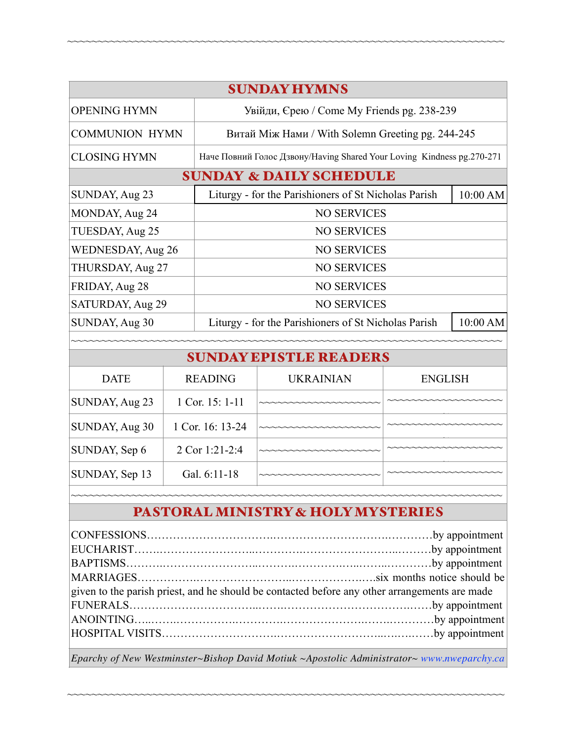| <b>SUNDAY HYMNS</b>                |                                                                         |          |  |  |  |
|------------------------------------|-------------------------------------------------------------------------|----------|--|--|--|
| <b>OPENING HYMN</b>                | Увійди, Єрею / Come My Friends pg. 238-239                              |          |  |  |  |
| <b>COMMUNION HYMN</b>              | Витай Між Нами / With Solemn Greeting pg. 244-245                       |          |  |  |  |
| <b>CLOSING HYMN</b>                | Наче Повний Голос Дзвону/Having Shared Your Loving Kindness pg. 270-271 |          |  |  |  |
| <b>SUNDAY &amp; DAILY SCHEDULE</b> |                                                                         |          |  |  |  |
| SUNDAY, Aug 23                     | Liturgy - for the Parishioners of St Nicholas Parish                    | 10:00 AM |  |  |  |
| MONDAY, Aug 24                     | <b>NO SERVICES</b>                                                      |          |  |  |  |
| TUESDAY, Aug 25                    | <b>NO SERVICES</b>                                                      |          |  |  |  |
| <b>WEDNESDAY, Aug 26</b>           | <b>NO SERVICES</b>                                                      |          |  |  |  |
| THURSDAY, Aug 27                   | <b>NO SERVICES</b>                                                      |          |  |  |  |
| FRIDAY, Aug 28                     | <b>NO SERVICES</b>                                                      |          |  |  |  |
| SATURDAY, Aug 29                   | <b>NO SERVICES</b>                                                      |          |  |  |  |
| SUNDAY, Aug 30                     | Liturgy - for the Parishioners of St Nicholas Parish                    | 10:00 AM |  |  |  |

~~~~~~~~~~~~~~~~~~~~~~~~~~~~~~~~~~~~~~~~~~~~~~~~~~~~~~~~~~~~~~~~~~~~~~~~

| <b>SUNDAY EPISTLE READERS</b> |                  |                  |                |  |
|-------------------------------|------------------|------------------|----------------|--|
| <b>DATE</b>                   | <b>READING</b>   | <b>UKRAINIAN</b> | <b>ENGLISH</b> |  |
| SUNDAY, Aug 23                | 1 Cor. 15: 1-11  | -----------      |                |  |
| SUNDAY, Aug 30                | 1 Cor. 16: 13-24 |                  |                |  |
| SUNDAY, Sep 6                 | 2 Cor 1:21-2:4   |                  |                |  |
| SUNDAY, Sep 13                | Gal. 6:11-18     | い〜〜〜〜〜〜〜〜〜〜〜〜    |                |  |
|                               |                  |                  |                |  |

# PASTORAL MINISTRY & HOLY MYSTERIES

| given to the parish priest, and he should be contacted before any other arrangements are made |  |  |
|-----------------------------------------------------------------------------------------------|--|--|
|                                                                                               |  |  |
|                                                                                               |  |  |
|                                                                                               |  |  |
|                                                                                               |  |  |

*Eparchy of New Westminster~Bishop David Motiuk ~Apostolic Administrator~ [www.nweparchy.ca](http://www.nweparchy.ca)*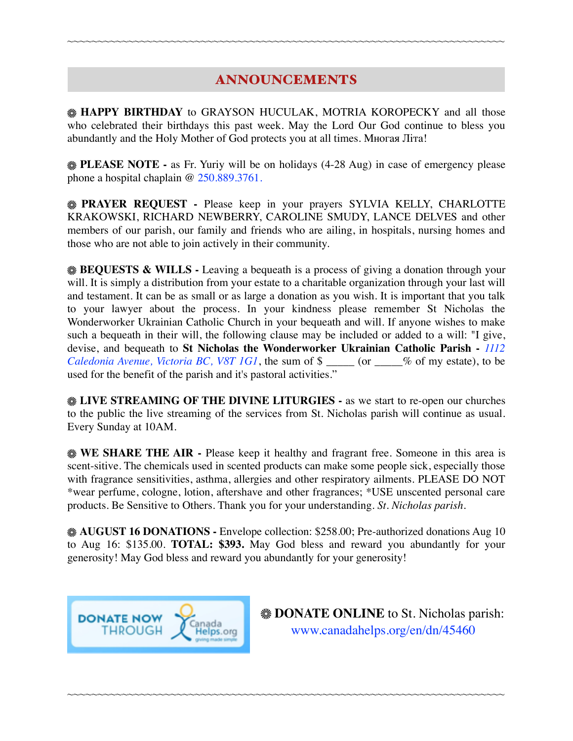### ANNOUNCEMENTS

~~~~~~~~~~~~~~~~~~~~~~~~~~~~~~~~~~~~~~~~~~~~~~~~~~~~~~~~~~~~~~~~~~~~~~~~

**HAPPY BIRTHDAY** to GRAYSON HUCULAK, MOTRIA KOROPECKY and all those who celebrated their birthdays this past week. May the Lord Our God continue to bless you abundantly and the Holy Mother of God protects you at all times. Многая Літа!

**PLEASE NOTE -** as Fr. Yuriy will be on holidays (4-28 Aug) in case of emergency please phone a hospital chaplain @ 250.889.3761.

**PRAYER REQUEST** - Please keep in your prayers SYLVIA KELLY, CHARLOTTE KRAKOWSKI, RICHARD NEWBERRY, CAROLINE SMUDY, LANCE DELVES and other members of our parish, our family and friends who are ailing, in hospitals, nursing homes and those who are not able to join actively in their community.

**BEQUESTS & WILLS -** Leaving a bequeath is a process of giving a donation through your will. It is simply a distribution from your estate to a charitable organization through your last will and testament. It can be as small or as large a donation as you wish. It is important that you talk to your lawyer about the process. In your kindness please remember St Nicholas the Wonderworker Ukrainian Catholic Church in your bequeath and will. If anyone wishes to make such a bequeath in their will, the following clause may be included or added to a will: "I give, devise, and bequeath to **St Nicholas the Wonderworker Ukrainian Catholic Parish -** *1112 Caledonia Avenue, Victoria BC, V8T 1G1*, the sum of \$ \_\_\_\_\_ (or \_\_\_\_% of my estate), to be used for the benefit of the parish and it's pastoral activities."

**LIVE STREAMING OF THE DIVINE LITURGIES -** as we start to re-open our churches to the public the live streaming of the services from St. Nicholas parish will continue as usual. Every Sunday at 10AM.

**WE SHARE THE AIR - Please keep it healthy and fragrant free. Someone in this area is** scent-sitive. The chemicals used in scented products can make some people sick, especially those with fragrance sensitivities, asthma, allergies and other respiratory ailments. PLEASE DO NOT \*wear perfume, cologne, lotion, aftershave and other fragrances; \*USE unscented personal care products. Be Sensitive to Others. Thank you for your understanding. *St. Nicholas parish.* 

**AUGUST 16 DONATIONS -** Envelope collection: \$258.00; Pre-authorized donations Aug 10 to Aug 16: \$135.00. **TOTAL: \$393.** May God bless and reward you abundantly for your generosity! May God bless and reward you abundantly for your generosity!

~~~~~~~~~~~~~~~~~~~~~~~~~~~~~~~~~~~~~~~~~~~~~~~~~~~~~~~~~~~~~~~~~~~~~~~~



**EXAMPLE ONLINE** to St. Nicholas parish: [www.canadahelps.org/en/dn/45460](http://www.canadahelps.org/en/dn/45460)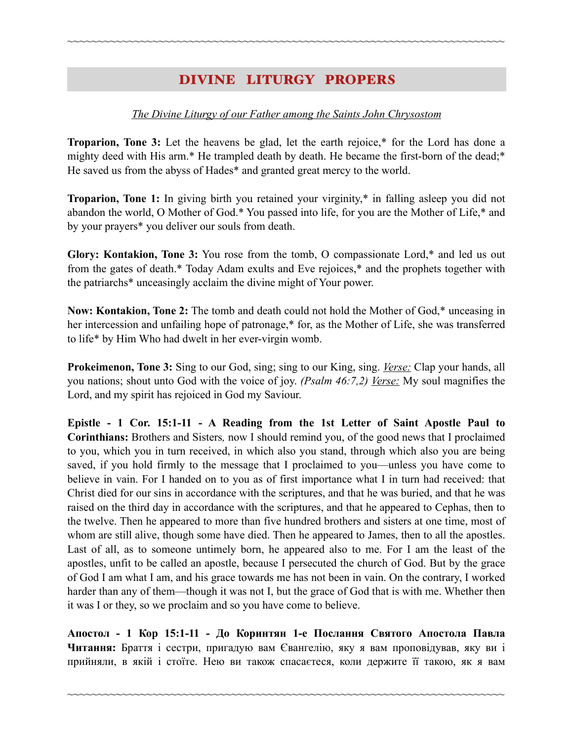## DIVINE LITURGY PROPERS

~~~~~~~~~~~~~~~~~~~~~~~~~~~~~~~~~~~~~~~~~~~~~~~~~~~~~~~~~~~~~~~~~~~~~~~~

#### *The Divine Liturgy of our Father among the Saints John Chrysostom*

**Troparion, Tone 3:** Let the heavens be glad, let the earth rejoice,\* for the Lord has done a mighty deed with His arm.\* He trampled death by death. He became the first-born of the dead;\* He saved us from the abyss of Hades\* and granted great mercy to the world.

**Troparion, Tone 1:** In giving birth you retained your virginity,\* in falling asleep you did not abandon the world, O Mother of God.\* You passed into life, for you are the Mother of Life,\* and by your prayers\* you deliver our souls from death.

**Glory: Kontakion, Tone 3:** You rose from the tomb, O compassionate Lord,\* and led us out from the gates of death.\* Today Adam exults and Eve rejoices,\* and the prophets together with the patriarchs\* unceasingly acclaim the divine might of Your power.

**Now: Kontakion, Tone 2:** The tomb and death could not hold the Mother of God,\* unceasing in her intercession and unfailing hope of patronage,\* for, as the Mother of Life, she was transferred to life\* by Him Who had dwelt in her ever-virgin womb.

**Prokeimenon, Tone 3:** Sing to our God, sing; sing to our King, sing. *Verse:* Clap your hands, all you nations; shout unto God with the voice of joy. *(Psalm 46:7,2) Verse:* My soul magnifies the Lord, and my spirit has rejoiced in God my Saviour.

**Epistle - 1 Cor. 15:1-11 - A Reading from the 1st Letter of Saint Apostle Paul to Corinthians:** Brothers and Sisters*,* now I should remind you, of the good news that I proclaimed to you, which you in turn received, in which also you stand, through which also you are being saved, if you hold firmly to the message that I proclaimed to you—unless you have come to believe in vain. For I handed on to you as of first importance what I in turn had received: that Christ died for our sins in accordance with the scriptures, and that he was buried, and that he was raised on the third day in accordance with the scriptures, and that he appeared to Cephas, then to the twelve. Then he appeared to more than five hundred brothers and sisters at one time, most of whom are still alive, though some have died. Then he appeared to James, then to all the apostles. Last of all, as to someone untimely born, he appeared also to me. For I am the least of the apostles, unfit to be called an apostle, because I persecuted the church of God. But by the grace of God I am what I am, and his grace towards me has not been in vain. On the contrary, I worked harder than any of them—though it was not I, but the grace of God that is with me. Whether then it was I or they, so we proclaim and so you have come to believe.

**Апостол - 1 Кор 15:1-11 - До Коринтян 1-e Послання Святого Апостола Павла Читання:** Браття і сестри, пригадую вам Євангелію, яку я вам проповідував, яку ви і прийняли, в якій і стоїте. Нею ви також спасаєтеся, коли держите її такою, як я вам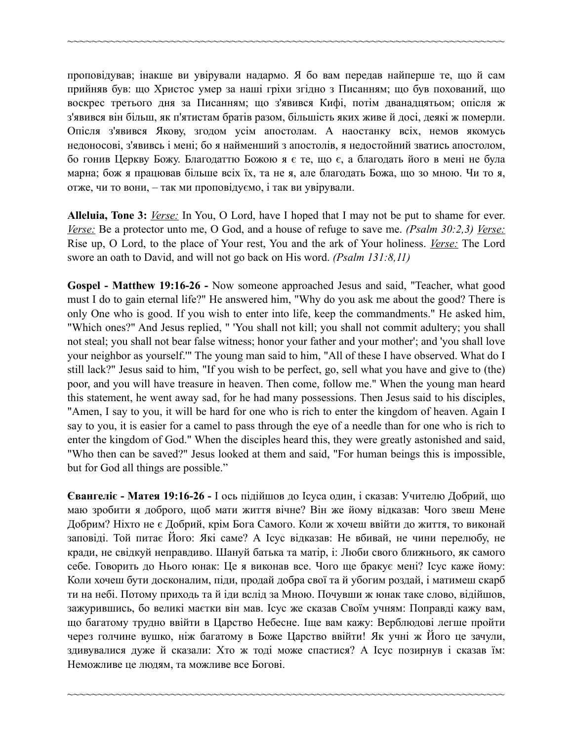проповідував; інакше ви увірували надармо. Я бо вам передав найперше те, що й сам прийняв був: що Христос умер за наші гріхи згідно з Писанням; що був похований, що воскрес третього дня за Писанням; що з'явився Кифі, потім дванадцятьом; опісля ж з'явився він більш, як п'ятистам братів разом, більшість яких живе й досі, деякі ж померли. Опісля з'явився Якову, згодом усім апостолам. А наостанку всіх, немов якомусь недоносові, з'явивсь і мені; бо я найменший з апостолів, я недостойний зватись апостолом, бо гонив Церкву Божу. Благодаттю Божою я є те, що є, а благодать його в мені не була марна; бож я працював більше всіх їх, та не я, але благодать Божа, що зо мною. Чи то я, отже, чи то вони, – так ми проповідуємо, і так ви увірували.

~~~~~~~~~~~~~~~~~~~~~~~~~~~~~~~~~~~~~~~~~~~~~~~~~~~~~~~~~~~~~~~~~~~~~~~~

**Alleluia, Tone 3:** *Verse:* In You, O Lord, have I hoped that I may not be put to shame for ever. *Verse:* Be a protector unto me, O God, and a house of refuge to save me. *(Psalm 30:2,3) Verse:* Rise up, O Lord, to the place of Your rest, You and the ark of Your holiness. *Verse:* The Lord swore an oath to David, and will not go back on His word. *(Psalm 131:8,11)* 

**Gospel - Мatthew 19:16-26 -** Now someone approached Jesus and said, "Teacher, what good must I do to gain eternal life?" He answered him, "Why do you ask me about the good? There is only One who is good. If you wish to enter into life, keep the commandments." He asked him, "Which ones?" And Jesus replied, " 'You shall not kill; you shall not commit adultery; you shall not steal; you shall not bear false witness; honor your father and your mother'; and 'you shall love your neighbor as yourself.'" The young man said to him, "All of these I have observed. What do I still lack?" Jesus said to him, "If you wish to be perfect, go, sell what you have and give to (the) poor, and you will have treasure in heaven. Then come, follow me." When the young man heard this statement, he went away sad, for he had many possessions. Then Jesus said to his disciples, "Amen, I say to you, it will be hard for one who is rich to enter the kingdom of heaven. Again I say to you, it is easier for a camel to pass through the eye of a needle than for one who is rich to enter the kingdom of God." When the disciples heard this, they were greatly astonished and said, "Who then can be saved?" Jesus looked at them and said, "For human beings this is impossible, but for God all things are possible."

**Євангеліє - Матея 19:16-26 -** І ось підійшов до Ісуса один, і сказав: Учителю Добрий, що маю зробити я доброго, щоб мати життя вічне? Він же йому відказав: Чого звеш Мене Добрим? Ніхто не є Добрий, крім Бога Самого. Коли ж хочеш ввійти до життя, то виконай заповіді. Той питає Його: Які саме? А Ісус відказав: Не вбивай, не чини перелюбу, не кради, не свідкуй неправдиво. Шануй батька та матір, і: Люби свого ближнього, як самого себе. Говорить до Нього юнак: Це я виконав все. Чого ще бракує мені? Ісус каже йому: Коли хочеш бути досконалим, піди, продай добра свої та й убогим роздай, і матимеш скарб ти на небі. Потому приходь та й іди вслід за Мною. Почувши ж юнак таке слово, відійшов, зажурившись, бо великі маєтки він мав. Ісус же сказав Своїм учням: Поправді кажу вам, що багатому трудно ввійти в Царство Небесне. Іще вам кажу: Верблюдові легше пройти через голчине вушко, ніж багатому в Боже Царство ввійти! Як учні ж Його це зачули, здивувалися дуже й сказали: Хто ж тоді може спастися? А Ісус позирнув і сказав їм: Неможливе це людям, та можливе все Богові.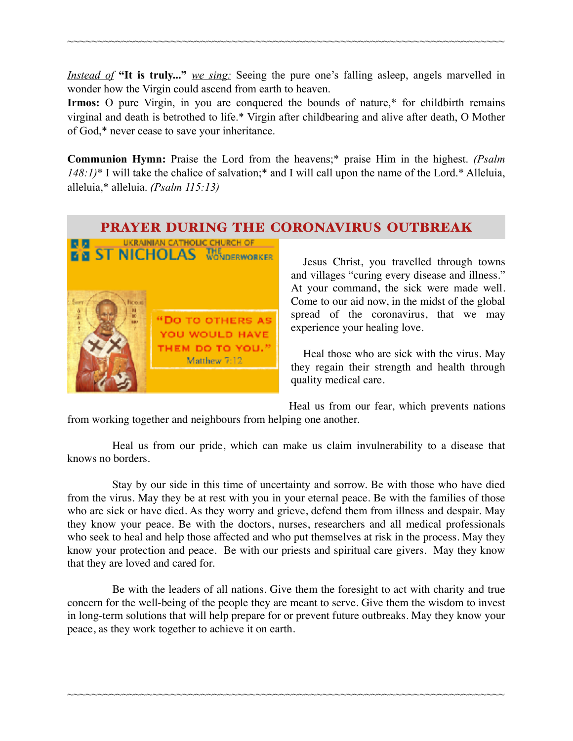*Instead of* **"It is truly..."** *we sing:* Seeing the pure one's falling asleep, angels marvelled in wonder how the Virgin could ascend from earth to heaven.

~~~~~~~~~~~~~~~~~~~~~~~~~~~~~~~~~~~~~~~~~~~~~~~~~~~~~~~~~~~~~~~~~~~~~~~~

**Irmos:** O pure Virgin, in you are conquered the bounds of nature,\* for childbirth remains virginal and death is betrothed to life.\* Virgin after childbearing and alive after death, O Mother of God,\* never cease to save your inheritance.

**Communion Hymn:** Praise the Lord from the heavens;\* praise Him in the highest. *(Psalm 148:1)*\* I will take the chalice of salvation;\* and I will call upon the name of the Lord.\* Alleluia, alleluia,\* alleluia. *(Psalm 115:13)*

### PRAYER DURING THE CORONAVIRUS OUTBREAK



Jesus Christ, you travelled through towns and villages "curing every disease and illness." At your command, the sick were made well. Come to our aid now, in the midst of the global spread of the coronavirus, that we may experience your healing love.

Heal those who are sick with the virus. May they regain their strength and health through quality medical care.

Heal us from our fear, which prevents nations from working together and neighbours from helping one another.

Heal us from our pride, which can make us claim invulnerability to a disease that knows no borders.

Stay by our side in this time of uncertainty and sorrow. Be with those who have died from the virus. May they be at rest with you in your eternal peace. Be with the families of those who are sick or have died. As they worry and grieve, defend them from illness and despair. May they know your peace. Be with the doctors, nurses, researchers and all medical professionals who seek to heal and help those affected and who put themselves at risk in the process. May they know your protection and peace. Be with our priests and spiritual care givers. May they know that they are loved and cared for.

Be with the leaders of all nations. Give them the foresight to act with charity and true concern for the well-being of the people they are meant to serve. Give them the wisdom to invest in long-term solutions that will help prepare for or prevent future outbreaks. May they know your peace, as they work together to achieve it on earth.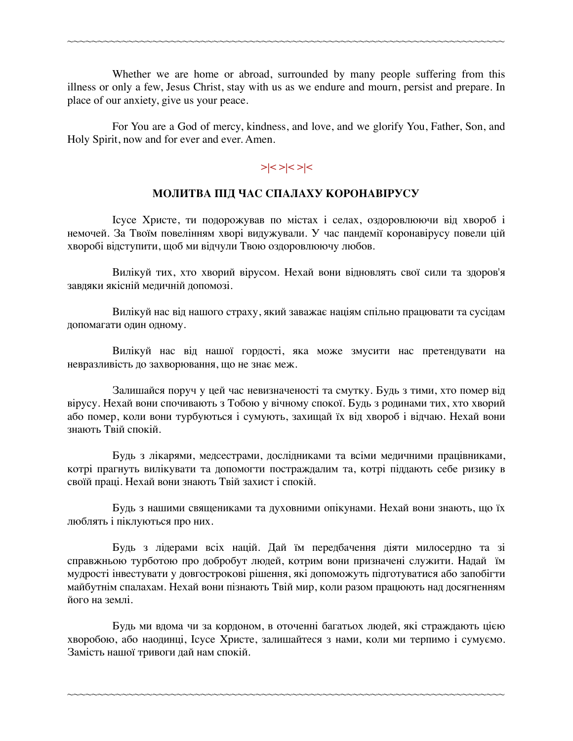Whether we are home or abroad, surrounded by many people suffering from this illness or only a few, Jesus Christ, stay with us as we endure and mourn, persist and prepare. In place of our anxiety, give us your peace.

~~~~~~~~~~~~~~~~~~~~~~~~~~~~~~~~~~~~~~~~~~~~~~~~~~~~~~~~~~~~~~~~~~~~~~~~

For You are a God of mercy, kindness, and love, and we glorify You, Father, Son, and Holy Spirit, now and for ever and ever. Amen.

### **>|< >|< >|<**

#### **МОЛИТВА ПІД ЧАС СПАЛАХУ КОРОНАВІРУСУ**

Ісусе Христе, ти подорожував по містах і селах, оздоровлюючи від хвороб і немочей. За Твоїм повелінням хворі видужували. У час пандемії коронавірусу повели цій хворобі відступити, щоб ми відчули Твою оздоровлюючу любов.

Вилікуй тих, хто хворий вірусом. Нехай вони відновлять свої сили та здоров'я завдяки якісній медичній допомозі.

Вилікуй нас від нашого страху, який заважає націям спільно працювати та сусідам допомагати один одному.

Вилікуй нас від нашої гордості, яка може змусити нас претендувати на невразливість до захворювання, що не знає меж.

Залишайся поруч у цей час невизначеності та смутку. Будь з тими, хто помер від вірусу. Нехай вони спочивають з Тобою у вічному спокої. Будь з родинами тих, хто хворий або помер, коли вони турбуються і сумують, захищай їх від хвороб і відчаю. Нехай вони знають Твій спокій.

Будь з лікарями, медсестрами, дослідниками та всіми медичними працівниками, котрі прагнуть вилікувати та допомогти постраждалим та, котрі піддають себе ризику в своїй праці. Нехай вони знають Твій захист і спокій.

Будь з нашими священиками та духовними опікунами. Нехай вони знають, що їх люблять і піклуються про них.

Будь з лідерами всіх націй. Дай їм передбачення діяти милосердно та зі справжньою турботою про добробут людей, котрим вони призначені служити. Надай їм мудрості інвестувати у довгострокові рішення, які допоможуть підготуватися або запобігти майбутнім спалахам. Нехай вони пізнають Твій мир, коли разом працюють над досягненням його на землі.

Будь ми вдома чи за кордоном, в оточенні багатьох людей, які страждають цією хворобою, або наодинці, Ісусе Христе, залишайтеся з нами, коли ми терпимо і сумуємо. Замість нашої тривоги дай нам спокій.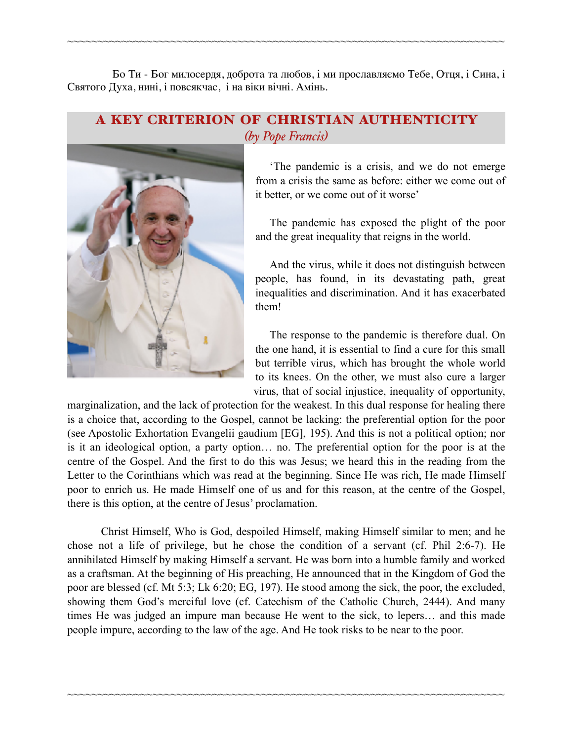Бо Ти - Бог милосердя, доброта та любов, і ми прославляємо Тебе, Отця, і Сина, і Святого Духа, нині, і повсякчас, і на віки вічні. Амінь.

~~~~~~~~~~~~~~~~~~~~~~~~~~~~~~~~~~~~~~~~~~~~~~~~~~~~~~~~~~~~~~~~~~~~~~~~

### A KEY CRITERION OF CHRISTIAN AUTHENTICITY *(by Pope Francis)*



'The pandemic is a crisis, and we do not emerge from a crisis the same as before: either we come out of it better, or we come out of it worse'

 The pandemic has exposed the plight of the poor and the great inequality that reigns in the world.

 And the virus, while it does not distinguish between people, has found, in its devastating path, great inequalities and discrimination. And it has exacerbated them!

 The response to the pandemic is therefore dual. On the one hand, it is essential to find a cure for this small but terrible virus, which has brought the whole world to its knees. On the other, we must also cure a larger virus, that of social injustice, inequality of opportunity,

marginalization, and the lack of protection for the weakest. In this dual response for healing there is a choice that, according to the Gospel, cannot be lacking: the preferential option for the poor (see Apostolic Exhortation Evangelii gaudium [EG], 195). And this is not a political option; nor is it an ideological option, a party option… no. The preferential option for the poor is at the centre of the Gospel. And the first to do this was Jesus; we heard this in the reading from the Letter to the Corinthians which was read at the beginning. Since He was rich, He made Himself poor to enrich us. He made Himself one of us and for this reason, at the centre of the Gospel, there is this option, at the centre of Jesus' proclamation.

 Christ Himself, Who is God, despoiled Himself, making Himself similar to men; and he chose not a life of privilege, but he chose the condition of a servant (cf. Phil 2:6-7). He annihilated Himself by making Himself a servant. He was born into a humble family and worked as a craftsman. At the beginning of His preaching, He announced that in the Kingdom of God the poor are blessed (cf. Mt 5:3; Lk 6:20; EG, 197). He stood among the sick, the poor, the excluded, showing them God's merciful love (cf. Catechism of the Catholic Church, 2444). And many times He was judged an impure man because He went to the sick, to lepers… and this made people impure, according to the law of the age. And He took risks to be near to the poor.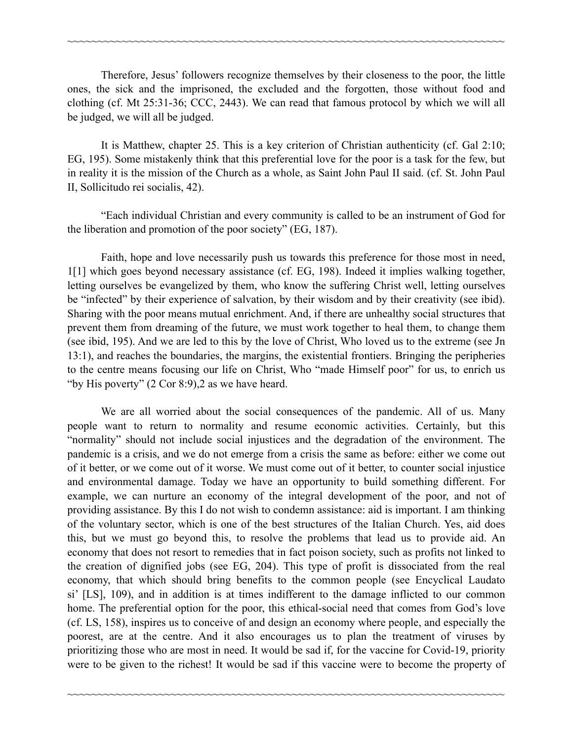Therefore, Jesus' followers recognize themselves by their closeness to the poor, the little ones, the sick and the imprisoned, the excluded and the forgotten, those without food and clothing (cf. Mt 25:31-36; CCC, 2443). We can read that famous protocol by which we will all be judged, we will all be judged.

~~~~~~~~~~~~~~~~~~~~~~~~~~~~~~~~~~~~~~~~~~~~~~~~~~~~~~~~~~~~~~~~~~~~~~~~

 It is Matthew, chapter 25. This is a key criterion of Christian authenticity (cf. Gal 2:10; EG, 195). Some mistakenly think that this preferential love for the poor is a task for the few, but in reality it is the mission of the Church as a whole, as Saint John Paul II said. (cf. St. John Paul II, Sollicitudo rei socialis, 42).

 "Each individual Christian and every community is called to be an instrument of God for the liberation and promotion of the poor society" (EG, 187).

 Faith, hope and love necessarily push us towards this preference for those most in need, 1[1] which goes beyond necessary assistance (cf. EG, 198). Indeed it implies walking together, letting ourselves be evangelized by them, who know the suffering Christ well, letting ourselves be "infected" by their experience of salvation, by their wisdom and by their creativity (see ibid). Sharing with the poor means mutual enrichment. And, if there are unhealthy social structures that prevent them from dreaming of the future, we must work together to heal them, to change them (see ibid, 195). And we are led to this by the love of Christ, Who loved us to the extreme (see Jn 13:1), and reaches the boundaries, the margins, the existential frontiers. Bringing the peripheries to the centre means focusing our life on Christ, Who "made Himself poor" for us, to enrich us "by His poverty" (2 Cor 8:9),2 as we have heard.

 We are all worried about the social consequences of the pandemic. All of us. Many people want to return to normality and resume economic activities. Certainly, but this "normality" should not include social injustices and the degradation of the environment. The pandemic is a crisis, and we do not emerge from a crisis the same as before: either we come out of it better, or we come out of it worse. We must come out of it better, to counter social injustice and environmental damage. Today we have an opportunity to build something different. For example, we can nurture an economy of the integral development of the poor, and not of providing assistance. By this I do not wish to condemn assistance: aid is important. I am thinking of the voluntary sector, which is one of the best structures of the Italian Church. Yes, aid does this, but we must go beyond this, to resolve the problems that lead us to provide aid. An economy that does not resort to remedies that in fact poison society, such as profits not linked to the creation of dignified jobs (see EG, 204). This type of profit is dissociated from the real economy, that which should bring benefits to the common people (see Encyclical Laudato si' [LS], 109), and in addition is at times indifferent to the damage inflicted to our common home. The preferential option for the poor, this ethical-social need that comes from God's love (cf. LS, 158), inspires us to conceive of and design an economy where people, and especially the poorest, are at the centre. And it also encourages us to plan the treatment of viruses by prioritizing those who are most in need. It would be sad if, for the vaccine for Covid-19, priority were to be given to the richest! It would be sad if this vaccine were to become the property of